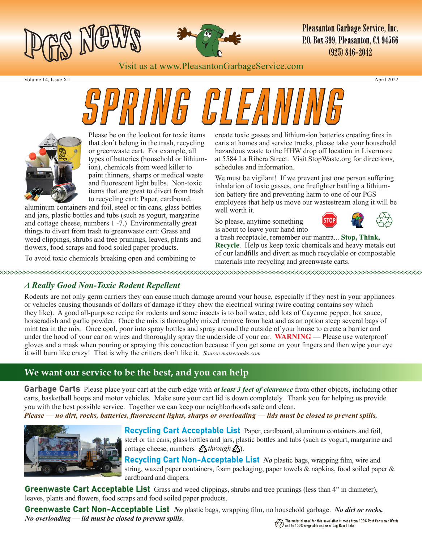



**Pleasanton Garbage Service, Inc. P.O. Box 399. Pleasanton. CA 94566**  $(925)$   $846-2042$ 

Visit us at www.PleasantonGarbageService.com

Volume 14, Issue XII April 2022

# *Spring Cleaning*



Please be on the lookout for toxic items that don't belong in the trash, recycling or greenwaste cart. For example, all types of batteries (household or lithiumion), chemicals from weed killer to paint thinners, sharps or medical waste and fluorescent light bulbs. Non-toxic items that are great to divert from trash to recycling cart: Paper, cardboard,

aluminum containers and foil, steel or tin cans, glass bottles and jars, plastic bottles and tubs (such as yogurt, margarine and cottage cheese, numbers 1 -7.) Environmentally great things to divert from trash to greenwaste cart: Grass and weed clippings, shrubs and tree prunings, leaves, plants and flowers, food scraps and food soiled paper products.

To avoid toxic chemicals breaking open and combining to

create toxic gasses and lithium-ion batteries creating fires in carts at homes and service trucks, please take your household hazardous waste to the HHW drop off location in Livermore at 5584 La Ribera Street. Visit StopWaste.org for directions, schedules and information.

We must be vigilant! If we prevent just one person suffering inhalation of toxic gasses, one firefighter battling a lithiumion battery fire and preventing harm to one of our PGS employees that help us move our wastestream along it will be well worth it.

So please, anytime something is about to leave your hand into



a trash receptacle, remember our mantra... **Stop, Think, Recycle**. Help us keep toxic chemicals and heavy metals out of our landfills and divert as much recyclable or compostable materials into recycling and greenwaste carts.

#### *A Really Good Non-Toxic Rodent Repellent*

Rodents are not only germ carriers they can cause much damage around your house, especially if they nest in your appliances or vehicles causing thousands of dollars of damage if they chew the electrical wiring (wire coating contains soy which they like). A good all-purpose recipe for rodents and some insects is to boil water, add lots of Cayenne pepper, hot sauce, horseradish and garlic powder. Once the mix is thoroughly mixed remove from heat and as an option steep several bags of mint tea in the mix. Once cool, poor into spray bottles and spray around the outside of your house to create a barrier and under the hood of your car on wires and thoroughly spray the underside of your car. **WARNING** — Please use waterproof gloves and a mask when pouring or spraying this concoction because if you get some on your fingers and then wipe your eye it will burn like crazy! That is why the critters don't like it. *Source matsecooks.com*

#### **We want our service to be the best, and you can help**

Garbage Carts Please place your cart at the curb edge with *at least 3 feet of clearance* from other objects, including other carts, basketball hoops and motor vehicles. Make sure your cart lid is down completely. Thank you for helping us provide you with the best possible service. Together we can keep our neighborhoods safe and clean.

*Please — no dirt, rocks, batteries, fluorescent lights, sharps or overloading — lids must be closed to prevent spills.*



Recycling Cart Acceptable List Paper, cardboard, aluminum containers and foil, steel or tin cans, glass bottles and jars, plastic bottles and tubs (such as yogurt, margarine and cottage cheese, numbers  $\Omega$ *through*  $\Omega$ ).

Recycling Cart Non-Acceptable List *No* plastic bags, wrapping film, wire and string, waxed paper containers, foam packaging, paper towels & napkins, food soiled paper & cardboard and diapers.

Greenwaste Cart Acceptable List Grass and weed clippings, shrubs and tree prunings (less than 4" in diameter), leaves, plants and flowers, food scraps and food soiled paper products.

Greenwaste Cart Non-Acceptable List *No* plastic bags, wrapping film, no household garbage. *No dirt or rocks. No overloading — lid must be closed to prevent spills*.  $\overbrace{\text{QQ}}^\text{D}$  The material used for this newsletter is made from 100% Post Consumer Waste<br>and is 100% recyclable and uses Soy Based Inks.